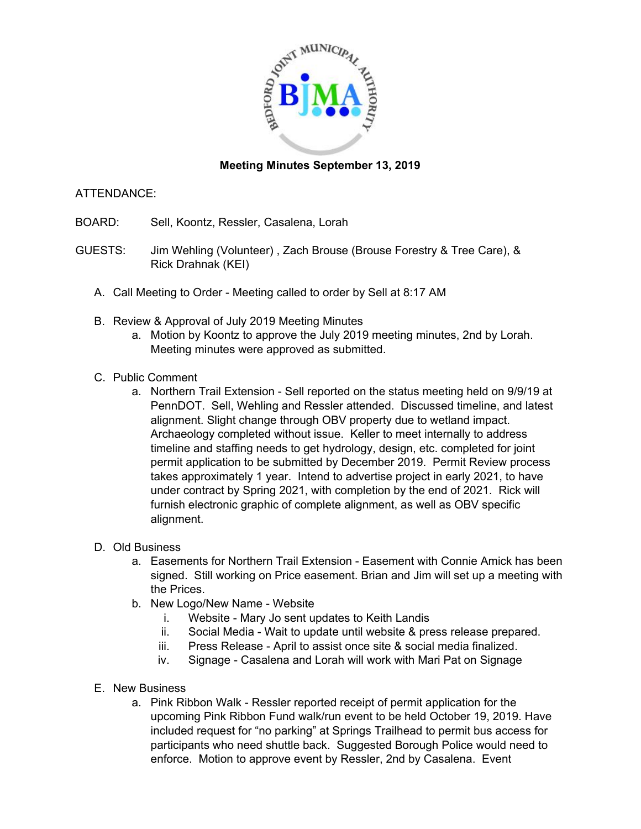

## **Meeting Minutes September 13, 2019**

## ATTENDANCE:

- BOARD: Sell, Koontz, Ressler, Casalena, Lorah
- GUESTS: Jim Wehling (Volunteer) , Zach Brouse (Brouse Forestry & Tree Care), & Rick Drahnak (KEI)
	- A. Call Meeting to Order Meeting called to order by Sell at 8:17 AM
	- B. Review & Approval of July 2019 Meeting Minutes
		- a. Motion by Koontz to approve the July 2019 meeting minutes, 2nd by Lorah. Meeting minutes were approved as submitted.
	- C. Public Comment
		- a. Northern Trail Extension Sell reported on the status meeting held on 9/9/19 at PennDOT. Sell, Wehling and Ressler attended. Discussed timeline, and latest alignment. Slight change through OBV property due to wetland impact. Archaeology completed without issue. Keller to meet internally to address timeline and staffing needs to get hydrology, design, etc. completed for joint permit application to be submitted by December 2019. Permit Review process takes approximately 1 year. Intend to advertise project in early 2021, to have under contract by Spring 2021, with completion by the end of 2021. Rick will furnish electronic graphic of complete alignment, as well as OBV specific alignment.
	- D. Old Business
		- a. Easements for Northern Trail Extension Easement with Connie Amick has been signed. Still working on Price easement. Brian and Jim will set up a meeting with the Prices.
		- b. New Logo/New Name Website
			- i. Website Mary Jo sent updates to Keith Landis
			- ii. Social Media Wait to update until website & press release prepared.
			- iii. Press Release April to assist once site & social media finalized.
			- iv. Signage Casalena and Lorah will work with Mari Pat on Signage
	- E. New Business
		- a. Pink Ribbon Walk Ressler reported receipt of permit application for the upcoming Pink Ribbon Fund walk/run event to be held October 19, 2019. Have included request for "no parking" at Springs Trailhead to permit bus access for participants who need shuttle back. Suggested Borough Police would need to enforce. Motion to approve event by Ressler, 2nd by Casalena. Event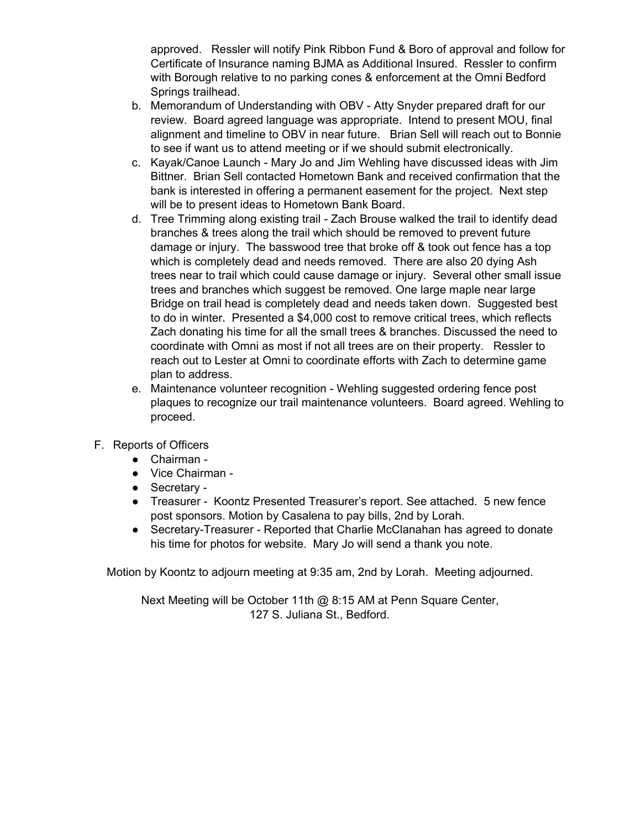approved. Ressler will notify Pink Ribbon Fund & Boro of approval and follow for Certificate of Insurance naming BJMA as Additional Insured. Ressler to confirm with Borough relative to no parking cones & enforcement at the Omni Bedford Springs trailhead.

- b. Memorandum of Understanding with OBV Atty Snyder prepared draft for our review. Board agreed language was appropriate. Intend to present MOU, final alignment and timeline to OBV in near future. Brian Sell will reach out to Bonnie to see if want us to attend meeting or if we should submit electronically.
- c. Kayak/Canoe Launch Mary Jo and Jim Wehling have discussed ideas with Jim Bittner. Brian Sell contacted Hometown Bank and received confirmation that the bank is interested in offering a permanent easement for the project. Next step will be to present ideas to Hometown Bank Board.
- d. Tree Trimming along existing trail Zach Brouse walked the trail to identify dead branches & trees along the trail which should be removed to prevent future damage or injury. The basswood tree that broke off & took out fence has a top which is completely dead and needs removed. There are also 20 dying Ash trees near to trail which could cause damage or injury. Several other small issue trees and branches which suggest be removed. One large maple near large Bridge on trail head is completely dead and needs taken down. Suggested best to do in winter. Presented a \$4,000 cost to remove critical trees, which reflects Zach donating his time for all the small trees & branches. Discussed the need to coordinate with Omni as most if not all trees are on their property. Ressler to reach out to Lester at Omni to coordinate efforts with Zach to determine game plan to address.
- e. Maintenance volunteer recognition Wehling suggested ordering fence post plaques to recognize our trail maintenance volunteers. Board agreed. Wehling to proceed.
- F. Reports of Officers
	- Chairman -
	- Vice Chairman -
	- Secretary -
	- Treasurer Koontz Presented Treasurer's report. See attached. 5 new fence post sponsors. Motion by Casalena to pay bills, 2nd by Lorah.
	- Secretary-Treasurer Reported that Charlie McClanahan has agreed to donate his time for photos for website. Mary Jo will send a thank you note.

Motion by Koontz to adjourn meeting at 9:35 am, 2nd by Lorah. Meeting adjourned.

Next Meeting will be October 11th @ 8:15 AM at Penn Square Center, 127 S. Juliana St., Bedford.